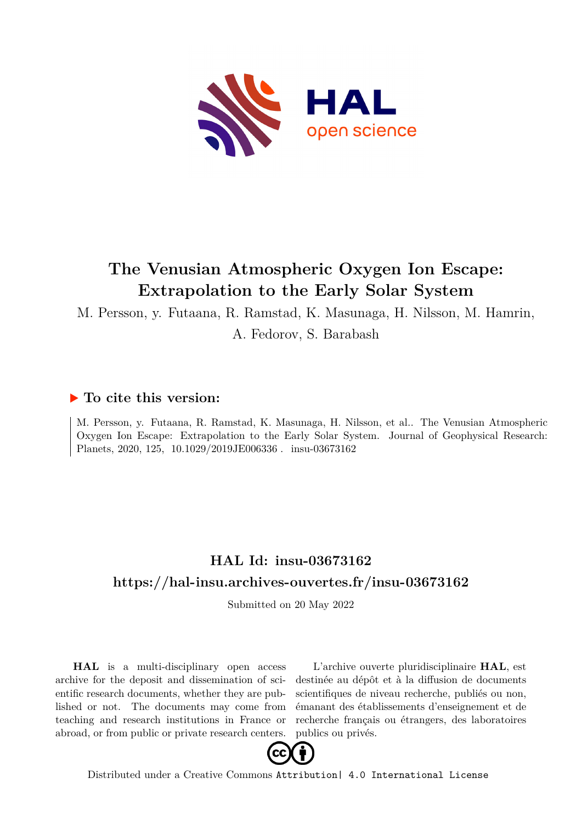

# **The Venusian Atmospheric Oxygen Ion Escape: Extrapolation to the Early Solar System**

M. Persson, y. Futaana, R. Ramstad, K. Masunaga, H. Nilsson, M. Hamrin,

A. Fedorov, S. Barabash

### **To cite this version:**

M. Persson, y. Futaana, R. Ramstad, K. Masunaga, H. Nilsson, et al.. The Venusian Atmospheric Oxygen Ion Escape: Extrapolation to the Early Solar System. Journal of Geophysical Research: Planets, 2020, 125, 10.1029/2019JE006336. insu-03673162

## **HAL Id: insu-03673162 <https://hal-insu.archives-ouvertes.fr/insu-03673162>**

Submitted on 20 May 2022

**HAL** is a multi-disciplinary open access archive for the deposit and dissemination of scientific research documents, whether they are published or not. The documents may come from teaching and research institutions in France or abroad, or from public or private research centers.

L'archive ouverte pluridisciplinaire **HAL**, est destinée au dépôt et à la diffusion de documents scientifiques de niveau recherche, publiés ou non, émanant des établissements d'enseignement et de recherche français ou étrangers, des laboratoires publics ou privés.



Distributed under a Creative Commons [Attribution| 4.0 International License](http://creativecommons.org/licenses/by/4.0/)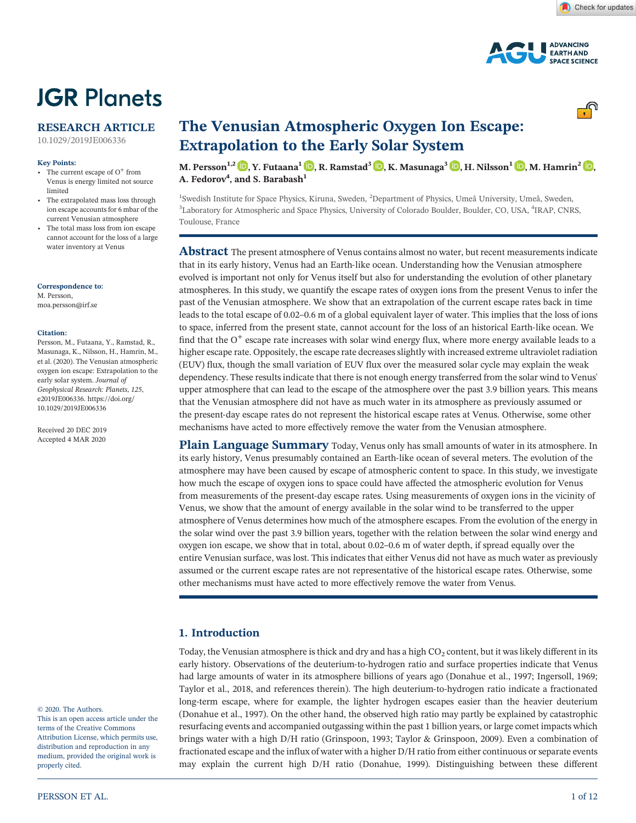

# **JGR Planets**



### **RESEARCH ARTICLE**

[10.1029/2019JE006336](https://doi.org/10.1029/2019JE006336)

### **Key Points:**

- The current escape of  $O<sup>+</sup>$  from Venus is energy limited not source limited
- The extrapolated mass loss through ion escape accounts for 6 mbar of the current Venusian atmosphere
- The total mass loss from ion escape cannot account for the loss of a large water inventory at Venus

### **Correspondence to:**

M. Persson, [moa.persson@irf.se](mailto:moa.persson@irf.se)

#### **Citation:**

Persson, M., Futaana, Y., Ramstad, R., Masunaga, K., Nilsson, H., Hamrin, M., et al. (2020). The Venusian atmospheric oxygen ion escape: Extrapolation to the early solar system. *Journal of Geophysical Research: Planets*, *125*, e2019JE006336. [https://doi.org/](https://doi.org/10.1029/2019JE006336) [10.1029/2019JE006336](https://doi.org/10.1029/2019JE006336)

Received 20 DEC 2019 Accepted 4 MAR 2020

### **The Venusian Atmospheric Oxygen Ion Escape: Extrapolation to the Early Solar System**

**M. Persson**<sup>1[,](https://orcid.org/0000-0002-2043-4442)2</sup> **b**, **Y. Futaana<sup>1</sup> <b>b**, **R. Ramstad**<sup>3</sup> **b**, **K. Masunaga<sup>3</sup> <b>b**, **H. Nilsson**<sup>1</sup> **b**, **M. Hamrin<sup>2</sup> <b>b**,  $\mathbf{A}$ . Fedorov<sup>4</sup>, and S. Barabash $^1$ 

<sup>1</sup>Swedish Institute for Space Physics, Kiruna, Sweden, <sup>2</sup>Department of Physics, Umeå University, Umeå, Sweden, <sup>3</sup>Laboratory for Atmospheric and Space Physics, University of Colorado Boulder, Boulder, CO, USA, <sup>4</sup>IRAP, CNRS, Toulouse, France

**Abstract** The present atmosphere of Venus contains almost no water, but recent measurements indicate that in its early history, Venus had an Earth‐like ocean. Understanding how the Venusian atmosphere evolved is important not only for Venus itself but also for understanding the evolution of other planetary atmospheres. In this study, we quantify the escape rates of oxygen ions from the present Venus to infer the past of the Venusian atmosphere. We show that an extrapolation of the current escape rates back in time leads to the total escape of 0.02–0.6 m of a global equivalent layer of water. This implies that the loss of ions to space, inferred from the present state, cannot account for the loss of an historical Earth‐like ocean. We find that the  $O<sup>+</sup>$  escape rate increases with solar wind energy flux, where more energy available leads to a higher escape rate. Oppositely, the escape rate decreases slightly with increased extreme ultraviolet radiation (EUV) flux, though the small variation of EUV flux over the measured solar cycle may explain the weak dependency. These results indicate that there is not enough energy transferred from the solar wind to Venus' upper atmosphere that can lead to the escape of the atmosphere over the past 3.9 billion years. This means that the Venusian atmosphere did not have as much water in its atmosphere as previously assumed or the present‐day escape rates do not represent the historical escape rates at Venus. Otherwise, some other mechanisms have acted to more effectively remove the water from the Venusian atmosphere.

**Plain Language Summary** Today, Venus only has small amounts of water in its atmosphere. In its early history, Venus presumably contained an Earth‐like ocean of several meters. The evolution of the atmosphere may have been caused by escape of atmospheric content to space. In this study, we investigate how much the escape of oxygen ions to space could have affected the atmospheric evolution for Venus from measurements of the present-day escape rates. Using measurements of oxygen ions in the vicinity of Venus, we show that the amount of energy available in the solar wind to be transferred to the upper atmosphere of Venus determines how much of the atmosphere escapes. From the evolution of the energy in the solar wind over the past 3.9 billion years, together with the relation between the solar wind energy and oxygen ion escape, we show that in total, about 0.02–0.6 m of water depth, if spread equally over the entire Venusian surface, was lost. This indicates that either Venus did not have as much water as previously assumed or the current escape rates are not representative of the historical escape rates. Otherwise, some other mechanisms must have acted to more effectively remove the water from Venus.

### **1. Introduction**

Today, the Venusian atmosphere is thick and dry and has a high  $CO<sub>2</sub>$  content, but it was likely different in its early history. Observations of the deuterium-to-hydrogen ratio and surface properties indicate that Venus had large amounts of water in its atmosphere billions of years ago (Donahue et al., 1997; Ingersoll, 1969; Taylor et al., 2018, and references therein). The high deuterium-to-hydrogen ratio indicate a fractionated long‐term escape, where for example, the lighter hydrogen escapes easier than the heavier deuterium (Donahue et al., 1997). On the other hand, the observed high ratio may partly be explained by catastrophic resurfacing events and accompanied outgassing within the past 1 billion years, or large comet impacts which brings water with a high D/H ratio (Grinspoon, 1993; Taylor & Grinspoon, 2009). Even a combination of fractionated escape and the influx of water with a higher D/H ratio from either continuous or separate events may explain the current high D/H ratio (Donahue, 1999). Distinguishing between these different

© 2020. The Authors.

This is an open access article under the terms of the Creative Commons Attribution License, which permits use, distribution and reproduction in any medium, provided the original work is properly cited.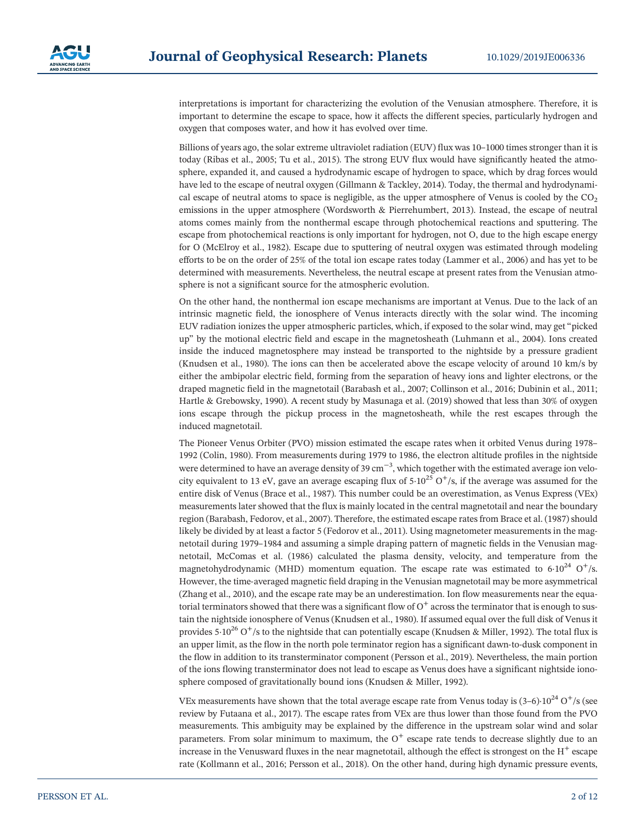interpretations is important for characterizing the evolution of the Venusian atmosphere. Therefore, it is important to determine the escape to space, how it affects the different species, particularly hydrogen and oxygen that composes water, and how it has evolved over time.

Billions of years ago, the solar extreme ultraviolet radiation (EUV) flux was 10–1000 times stronger than it is today (Ribas et al., 2005; Tu et al., 2015). The strong EUV flux would have significantly heated the atmosphere, expanded it, and caused a hydrodynamic escape of hydrogen to space, which by drag forces would have led to the escape of neutral oxygen (Gillmann & Tackley, 2014). Today, the thermal and hydrodynamical escape of neutral atoms to space is negligible, as the upper atmosphere of Venus is cooled by the  $CO<sub>2</sub>$ emissions in the upper atmosphere (Wordsworth & Pierrehumbert, 2013). Instead, the escape of neutral atoms comes mainly from the nonthermal escape through photochemical reactions and sputtering. The escape from photochemical reactions is only important for hydrogen, not O, due to the high escape energy for O (McElroy et al., 1982). Escape due to sputtering of neutral oxygen was estimated through modeling efforts to be on the order of 25% of the total ion escape rates today (Lammer et al., 2006) and has yet to be determined with measurements. Nevertheless, the neutral escape at present rates from the Venusian atmosphere is not a significant source for the atmospheric evolution.

On the other hand, the nonthermal ion escape mechanisms are important at Venus. Due to the lack of an intrinsic magnetic field, the ionosphere of Venus interacts directly with the solar wind. The incoming EUV radiation ionizes the upper atmospheric particles, which, if exposed to the solar wind, may get "picked up" by the motional electric field and escape in the magnetosheath (Luhmann et al., 2004). Ions created inside the induced magnetosphere may instead be transported to the nightside by a pressure gradient (Knudsen et al., 1980). The ions can then be accelerated above the escape velocity of around 10 km/s by either the ambipolar electric field, forming from the separation of heavy ions and lighter electrons, or the draped magnetic field in the magnetotail (Barabash et al., 2007; Collinson et al., 2016; Dubinin et al., 2011; Hartle & Grebowsky, 1990). A recent study by Masunaga et al. (2019) showed that less than 30% of oxygen ions escape through the pickup process in the magnetosheath, while the rest escapes through the induced magnetotail.

The Pioneer Venus Orbiter (PVO) mission estimated the escape rates when it orbited Venus during 1978– 1992 (Colin, 1980). From measurements during 1979 to 1986, the electron altitude profiles in the nightside were determined to have an average density of 39  $\rm cm^{-3}$ , which together with the estimated average ion velocity equivalent to 13 eV, gave an average escaping flux of  $5·10^{25}$  O<sup>+</sup>/s, if the average was assumed for the entire disk of Venus (Brace et al., 1987). This number could be an overestimation, as Venus Express (VEx) measurements later showed that the flux is mainly located in the central magnetotail and near the boundary region (Barabash, Fedorov, et al., 2007). Therefore, the estimated escape rates from Brace et al. (1987) should likely be divided by at least a factor 5 (Fedorov et al., 2011). Using magnetometer measurements in the magnetotail during 1979–1984 and assuming a simple draping pattern of magnetic fields in the Venusian magnetotail, McComas et al. (1986) calculated the plasma density, velocity, and temperature from the magnetohydrodynamic (MHD) momentum equation. The escape rate was estimated to  $6.10^{24}$  O<sup>+</sup>/s. However, the time‐averaged magnetic field draping in the Venusian magnetotail may be more asymmetrical (Zhang et al., 2010), and the escape rate may be an underestimation. Ion flow measurements near the equatorial terminators showed that there was a significant flow of  $O^+$  across the terminator that is enough to sustain the nightside ionosphere of Venus (Knudsen et al., 1980). If assumed equal over the full disk of Venus it provides 5·10<sup>26</sup> O<sup>+</sup>/s to the nightside that can potentially escape (Knudsen & Miller, 1992). The total flux is an upper limit, as the flow in the north pole terminator region has a significant dawn-to-dusk component in the flow in addition to its transterminator component (Persson et al., 2019). Nevertheless, the main portion of the ions flowing transterminator does not lead to escape as Venus does have a significant nightside ionosphere composed of gravitationally bound ions (Knudsen & Miller, 1992).

VEx measurements have shown that the total average escape rate from Venus today is  $(3-6) \cdot 10^{24}$  O<sup>+</sup>/s (see review by Futaana et al., 2017). The escape rates from VEx are thus lower than those found from the PVO measurements. This ambiguity may be explained by the difference in the upstream solar wind and solar parameters. From solar minimum to maximum, the  $O<sup>+</sup>$  escape rate tends to decrease slightly due to an increase in the Venusward fluxes in the near magnetotail, although the effect is strongest on the  $H^+$  escape rate (Kollmann et al., 2016; Persson et al., 2018). On the other hand, during high dynamic pressure events,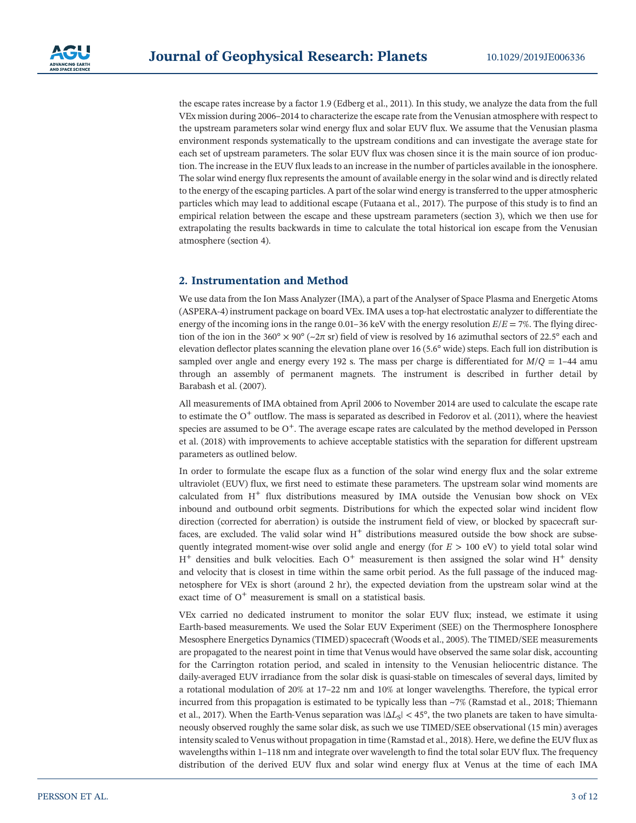the escape rates increase by a factor 1.9 (Edberg et al., 2011). In this study, we analyze the data from the full VEx mission during 2006–2014 to characterize the escape rate from the Venusian atmosphere with respect to the upstream parameters solar wind energy flux and solar EUV flux. We assume that the Venusian plasma environment responds systematically to the upstream conditions and can investigate the average state for each set of upstream parameters. The solar EUV flux was chosen since it is the main source of ion production. The increase in the EUV flux leads to an increase in the number of particles available in the ionosphere. The solar wind energy flux represents the amount of available energy in the solar wind and is directly related to the energy of the escaping particles. A part of the solar wind energy is transferred to the upper atmospheric particles which may lead to additional escape (Futaana et al., 2017). The purpose of this study is to find an empirical relation between the escape and these upstream parameters (section 3), which we then use for extrapolating the results backwards in time to calculate the total historical ion escape from the Venusian atmosphere (section 4).

### **2. Instrumentation and Method**

We use data from the Ion Mass Analyzer (IMA), a part of the Analyser of Space Plasma and Energetic Atoms (ASPERA‐4) instrument package on board VEx. IMA uses a top‐hat electrostatic analyzer to differentiate the energy of the incoming ions in the range  $0.01-36$  keV with the energy resolution  $E/E = 7\%$ . The flying direction of the ion in the 360°  $\times$  90° ( $\times$ 2π sr) field of view is resolved by 16 azimuthal sectors of 22.5° each and elevation deflector plates scanning the elevation plane over 16 (5.6° wide) steps. Each full ion distribution is sampled over angle and energy every 192 s. The mass per charge is differentiated for  $M/Q = 1-44$  amu through an assembly of permanent magnets. The instrument is described in further detail by Barabash et al. (2007).

All measurements of IMA obtained from April 2006 to November 2014 are used to calculate the escape rate to estimate the  $O<sup>+</sup>$  outflow. The mass is separated as described in Fedorov et al. (2011), where the heaviest species are assumed to be  $O<sup>+</sup>$ . The average escape rates are calculated by the method developed in Persson et al. (2018) with improvements to achieve acceptable statistics with the separation for different upstream parameters as outlined below.

In order to formulate the escape flux as a function of the solar wind energy flux and the solar extreme ultraviolet (EUV) flux, we first need to estimate these parameters. The upstream solar wind moments are calculated from  $H^+$  flux distributions measured by IMA outside the Venusian bow shock on VEx inbound and outbound orbit segments. Distributions for which the expected solar wind incident flow direction (corrected for aberration) is outside the instrument field of view, or blocked by spacecraft surfaces, are excluded. The valid solar wind  $H^+$  distributions measured outside the bow shock are subsequently integrated moment-wise over solid angle and energy (for  $E > 100$  eV) to yield total solar wind  $H^+$  densities and bulk velocities. Each  $O^+$  measurement is then assigned the solar wind  $H^+$  density and velocity that is closest in time within the same orbit period. As the full passage of the induced magnetosphere for VEx is short (around 2 hr), the expected deviation from the upstream solar wind at the exact time of  $O<sup>+</sup>$  measurement is small on a statistical basis.

VEx carried no dedicated instrument to monitor the solar EUV flux; instead, we estimate it using Earth-based measurements. We used the Solar EUV Experiment (SEE) on the Thermosphere Ionosphere Mesosphere Energetics Dynamics (TIMED) spacecraft (Woods et al., 2005). The TIMED/SEE measurements are propagated to the nearest point in time that Venus would have observed the same solar disk, accounting for the Carrington rotation period, and scaled in intensity to the Venusian heliocentric distance. The daily‐averaged EUV irradiance from the solar disk is quasi‐stable on timescales of several days, limited by a rotational modulation of 20% at 17–22 nm and 10% at longer wavelengths. Therefore, the typical error incurred from this propagation is estimated to be typically less than  $\sim$ 7% (Ramstad et al., 2018; Thiemann et al., 2017). When the Earth-Venus separation was  $|\Delta L_S|$  < 45°, the two planets are taken to have simultaneously observed roughly the same solar disk, as such we use TIMED/SEE observational (15 min) averages intensity scaled to Venus without propagation in time (Ramstad et al., 2018). Here, we define the EUV flux as wavelengths within 1–118 nm and integrate over wavelength to find the total solar EUV flux. The frequency distribution of the derived EUV flux and solar wind energy flux at Venus at the time of each IMA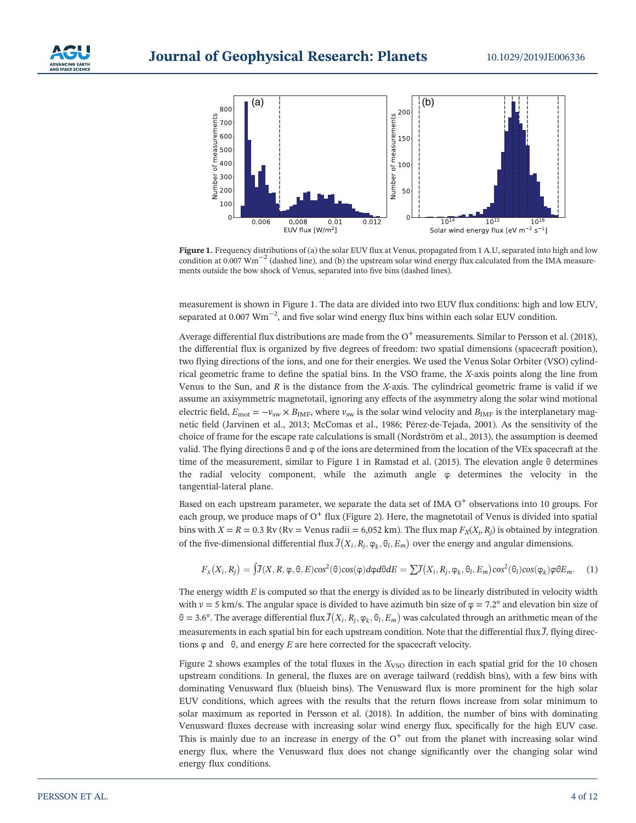

**Figure 1.** Frequency distributions of (a) the solar EUV flux at Venus, propagated from 1 A.U, separated into high and low condition at 0.007 Wm<sup>-2</sup> (dashed line), and (b) the upstream solar wind energy flux calculated from the IMA measurements outside the bow shock of Venus, separated into five bins (dashed lines).

measurement is shown in Figure 1. The data are divided into two EUV flux conditions: high and low EUV, separated at 0.007  ${\rm Wm}^{-2}$ , and five solar wind energy flux bins within each solar EUV condition.

Average differential flux distributions are made from the  $O<sup>+</sup>$  measurements. Similar to Persson et al. (2018), the differential flux is organized by five degrees of freedom: two spatial dimensions (spacecraft position), two flying directions of the ions, and one for their energies. We used the Venus Solar Orbiter (VSO) cylindrical geometric frame to define the spatial bins. In the VSO frame, the *<sup>X</sup>*‐axis points along the line from Venus to the Sun, and *<sup>R</sup>* is the distance from the *<sup>X</sup>*‐axis. The cylindrical geometric frame is valid if we assume an axisymmetric magnetotail, ignoring any effects of the asymmetry along the solar wind motional electric field,  $E_{\text{mot}} = -v_{\text{sw}} \times B_{\text{IMF}}$ , where  $v_{\text{sw}}$  is the solar wind velocity and  $B_{\text{IMF}}$  is the interplanetary magnetic field (Jarvinen et al., 2013; McComas et al., 1986; Pérez‐de‐Tejada, 2001). As the sensitivity of the choice of frame for the escape rate calculations is small (Nordström et al., 2013), the assumption is deemed valid. The flying directions  $\theta$  and  $\varphi$  of the ions are determined from the location of the VEx spacecraft at the time of the measurement, similar to Figure 1 in Ramstad et al. (2015). The elevation angle θ determines the radial velocity component, while the azimuth angle  $\varphi$  determines the velocity in the tangential‐lateral plane.

Based on each upstream parameter, we separate the data set of IMA  $O<sup>+</sup>$  observations into 10 groups. For each group, we produce maps of  $O<sup>+</sup>$  flux (Figure 2). Here, the magnetotail of Venus is divided into spatial bins with  $X = R = 0.3$  Rv (Rv = Venus radii = 6,052 km). The flux map  $F_X(X_i, R_j)$  is obtained by integration of the five-dimensional differential flux  $\overline{J}(X_i, R_j, \varphi_k, \theta_l, E_m)$  over the energy and angular dimensions.

$$
F_x(X_i, R_j) = \int \overline{J}(X, R, \varphi, \theta, E) \cos^2(\theta) \cos(\varphi) d\varphi d\theta dE = \sum \overline{J}(X_i, R_j, \varphi_k, \theta_l, E_m) \cos^2(\theta_l) \cos(\varphi_k) \varphi \theta E_m.
$$
 (1)

The energy width *E* is computed so that the energy is divided as to be linearly distributed in velocity width with  $v = 5$  km/s. The angular space is divided to have azimuth bin size of  $\varphi = 7.2^\circ$  and elevation bin size of θ = 3.6°. The average differential flux  $\overline{J}(X_i, R_j, \varphi_k, \theta_l, E_m)$  was calculated through an arithmetic mean of the measurements in each spatial bin for each upstream condition. Note that the differential flux  $\bar{J}$ , flying directions φ and θ, and energy *E* are here corrected for the spacecraft velocity.

Figure 2 shows examples of the total fluxes in the  $X_{\rm VSO}$  direction in each spatial grid for the 10 chosen upstream conditions. In general, the fluxes are on average tailward (reddish bins), with a few bins with dominating Venusward flux (blueish bins). The Venusward flux is more prominent for the high solar EUV conditions, which agrees with the results that the return flows increase from solar minimum to solar maximum as reported in Persson et al. (2018). In addition, the number of bins with dominating Venusward fluxes decrease with increasing solar wind energy flux, specifically for the high EUV case. This is mainly due to an increase in energy of the  $O<sup>+</sup>$  out from the planet with increasing solar wind energy flux, where the Venusward flux does not change significantly over the changing solar wind energy flux conditions.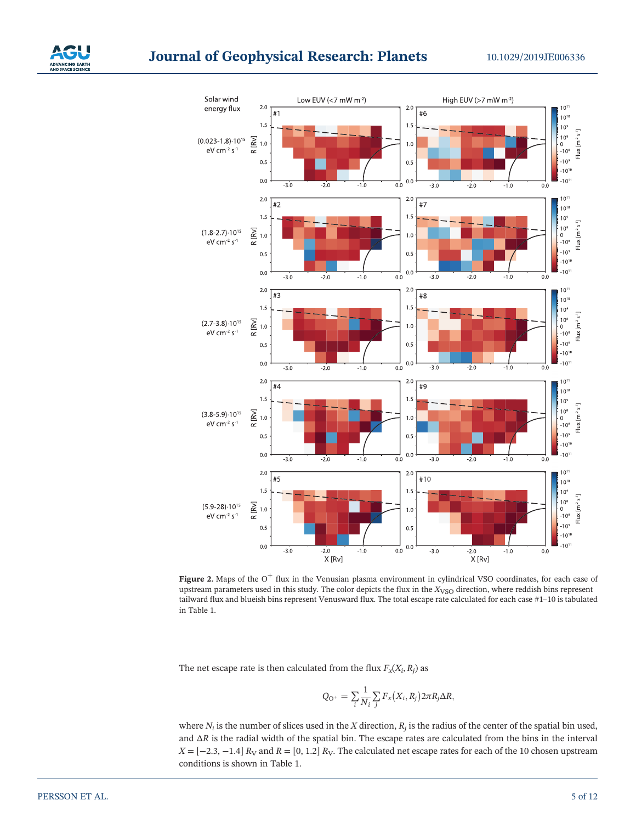





**Figure 2.** Maps of the O<sup>+</sup> flux in the Venusian plasma environment in cylindrical VSO coordinates, for each case of upstream parameters used in this study. The color depicts the flux in the *X*<sub>VSO</sub> direction, where reddish bins represent tailward flux and blueish bins represent Venusward flux. The total escape rate calculated for each case #1–10 is tabulated in Table 1.

The net escape rate is then calculated from the flux  $F_x(X_i, R_j)$  as

$$
Q_{\text{O}^+} = \sum_i \frac{1}{N_i} \sum_j F_x(X_i, R_j) 2\pi R_j \Delta R,
$$

where  $N_i$  is the number of slices used in the *X* direction,  $R_j$  is the radius of the center of the spatial bin used, and Δ*R* is the radial width of the spatial bin. The escape rates are calculated from the bins in the interval  $X = \begin{bmatrix} -2.3, -1.4 \end{bmatrix}$  *R*<sub>V</sub> and  $R = \begin{bmatrix} 0, 1.2 \end{bmatrix}$  *R*<sub>V</sub>. The calculated net escape rates for each of the 10 chosen upstream conditions is shown in Table 1.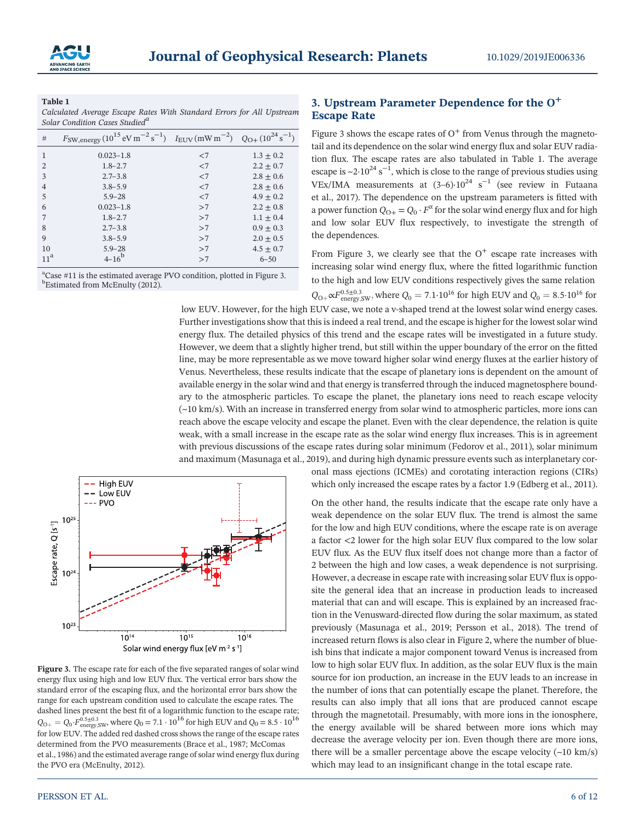

**Table 1**

*Calculated Average Escape Rates With Standard Errors for All Upstream Solar Condition Cases Studied*<sup>4</sup>

| #                 | $F_{\rm SW, energy} (10^{15} \, \rm eV \, m^{-2} \, s^{-1})$ | $I_{\text{EUV}}$ (mW m <sup>-2</sup> ) | $Q_{\rm O+}(10^{24}\,{\rm s}^{-1})$ |
|-------------------|--------------------------------------------------------------|----------------------------------------|-------------------------------------|
| 1                 | $0.023 - 1.8$                                                | $<$ 7                                  | $1.3 \pm 0.2$                       |
| $\overline{2}$    | $1.8 - 2.7$                                                  | $<$ 7                                  | $2.2 \pm 0.7$                       |
| 3                 | $2.7 - 3.8$                                                  | $<$ 7                                  | $2.8 \pm 0.6$                       |
| $\overline{4}$    | $3.8 - 5.9$                                                  | $<$ 7                                  | $2.8 \pm 0.6$                       |
| 5                 | $5.9 - 28$                                                   | $<$ 7                                  | $4.9 + 0.2$                         |
| 6                 | $0.023 - 1.8$                                                | >7                                     | $2.2 \pm 0.8$                       |
| $\overline{7}$    | $1.8 - 2.7$                                                  | >7                                     | $1.1 \pm 0.4$                       |
| 8                 | $2.7 - 3.8$                                                  | >7                                     | $0.9 + 0.3$                         |
| 9                 | $3.8 - 5.9$                                                  | >7                                     | $2.0 \pm 0.5$                       |
| 10                | $5.9 - 28$                                                   | >7                                     | $4.5 \pm 0.7$                       |
| $11^{\mathrm{a}}$ | $4 - 16^{b}$                                                 | >7                                     | $6 - 50$                            |

<sup>a</sup>Case #11 is the estimated average PVO condition, plotted in Figure 3. <sup>b</sup>Estimated from McEnulty (2012).

### **3. Upstream Parameter Dependence for the O+ Escape Rate**

Figure 3 shows the escape rates of  $O<sup>+</sup>$  from Venus through the magnetotail and its dependence on the solar wind energy flux and solar EUV radiation flux. The escape rates are also tabulated in Table 1. The average escape is ~2 $\cdot$ 10<sup>24</sup> s<sup>-1</sup>, which is close to the range of previous studies using VEx/IMA measurements at  $(3-6) \cdot 10^{24}$  s<sup>-1</sup> (see review in Futaana et al., 2017). The dependence on the upstream parameters is fitted with a power function  $Q_{O+} = Q_0 \cdot F^{\alpha}$  for the solar wind energy flux and for high and low solar EUV flux respectively, to investigate the strength of the dependences.

From Figure 3, we clearly see that the  $O<sup>+</sup>$  escape rate increases with increasing solar wind energy flux, where the fitted logarithmic function to the high and low EUV conditions respectively gives the same relation  $Q_{\text{O}+} \propto F_{\text{energy,SW}}^{0.5 \pm 0.3}$ , where  $Q_0 = 7.1 \cdot 10^{16}$  for high EUV and  $Q_0 = 8.5 \cdot 10^{16}$  for

low EUV. However, for the high EUV case, we note a v-shaped trend at the lowest solar wind energy cases. Further investigations show that this is indeed a real trend, and the escape is higher for the lowest solar wind energy flux. The detailed physics of this trend and the escape rates will be investigated in a future study. However, we deem that a slightly higher trend, but still within the upper boundary of the error on the fitted line, may be more representable as we move toward higher solar wind energy fluxes at the earlier history of Venus. Nevertheless, these results indicate that the escape of planetary ions is dependent on the amount of available energy in the solar wind and that energy is transferred through the induced magnetosphere boundary to the atmospheric particles. To escape the planet, the planetary ions need to reach escape velocity (~10 km/s). With an increase in transferred energy from solar wind to atmospheric particles, more ions can reach above the escape velocity and escape the planet. Even with the clear dependence, the relation is quite weak, with a small increase in the escape rate as the solar wind energy flux increases. This is in agreement with previous discussions of the escape rates during solar minimum (Fedorov et al., 2011), solar minimum and maximum (Masunaga et al., 2019), and during high dynamic pressure events such as interplanetary cor-



**Figure 3.** The escape rate for each of the five separated ranges of solar wind energy flux using high and low EUV flux. The vertical error bars show the standard error of the escaping flux, and the horizontal error bars show the range for each upstream condition used to calculate the escape rates. The dashed lines present the best fit of a logarithmic function to the escape rate;  $Q_{O+} = Q_0 \cdot F_{\text{energy,SW}}^{0.5 \pm 0.3}$ , where  $Q_0 = 7.1 \cdot 10^{16}$  for high EUV and  $Q_0 = 8.5 \cdot 10^{16}$ for low EUV. The added red dashed cross shows the range of the escape rates determined from the PVO measurements (Brace et al., 1987; McComas et al., 1986) and the estimated average range of solar wind energy flux during the PVO era (McEnulty, 2012).

onal mass ejections (ICMEs) and corotating interaction regions (CIRs) which only increased the escape rates by a factor 1.9 (Edberg et al., 2011).

On the other hand, the results indicate that the escape rate only have a weak dependence on the solar EUV flux. The trend is almost the same for the low and high EUV conditions, where the escape rate is on average a factor <2 lower for the high solar EUV flux compared to the low solar EUV flux. As the EUV flux itself does not change more than a factor of 2 between the high and low cases, a weak dependence is not surprising. However, a decrease in escape rate with increasing solar EUV flux is opposite the general idea that an increase in production leads to increased material that can and will escape. This is explained by an increased fraction in the Venusward‐directed flow during the solar maximum, as stated previously (Masunaga et al., 2019; Persson et al., 2018). The trend of increased return flows is also clear in Figure 2, where the number of blueish bins that indicate a major component toward Venus is increased from low to high solar EUV flux. In addition, as the solar EUV flux is the main source for ion production, an increase in the EUV leads to an increase in the number of ions that can potentially escape the planet. Therefore, the results can also imply that all ions that are produced cannot escape through the magnetotail. Presumably, with more ions in the ionosphere, the energy available will be shared between more ions which may decrease the average velocity per ion. Even though there are more ions, there will be a smaller percentage above the escape velocity  $(-10 \text{ km/s})$ which may lead to an insignificant change in the total escape rate.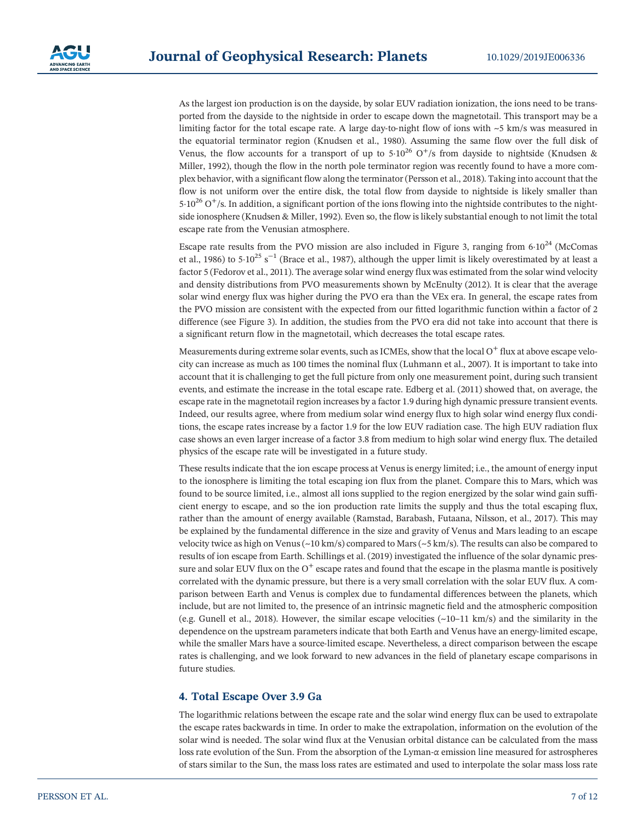As the largest ion production is on the dayside, by solar EUV radiation ionization, the ions need to be transported from the dayside to the nightside in order to escape down the magnetotail. This transport may be a limiting factor for the total escape rate. A large day-to-night flow of ions with  $\sim$  5 km/s was measured in the equatorial terminator region (Knudsen et al., 1980). Assuming the same flow over the full disk of Venus, the flow accounts for a transport of up to  $5.10^{26}$  O<sup>+</sup>/s from dayside to nightside (Knudsen & Miller, 1992), though the flow in the north pole terminator region was recently found to have a more complex behavior, with a significant flow along the terminator (Persson et al., 2018). Taking into account that the flow is not uniform over the entire disk, the total flow from dayside to nightside is likely smaller than  $5\cdot10^{26}$  O<sup>+</sup>/s. In addition, a significant portion of the ions flowing into the nightside contributes to the nightside ionosphere (Knudsen & Miller, 1992). Even so, the flow is likely substantial enough to not limit the total escape rate from the Venusian atmosphere.

Escape rate results from the PVO mission are also included in Figure 3, ranging from  $6\cdot10^{24}$  (McComas et al., 1986) to 5·10<sup>25</sup> s<sup>-1</sup> (Brace et al., 1987), although the upper limit is likely overestimated by at least a factor 5 (Fedorov et al., 2011). The average solar wind energy flux was estimated from the solar wind velocity and density distributions from PVO measurements shown by McEnulty (2012). It is clear that the average solar wind energy flux was higher during the PVO era than the VEx era. In general, the escape rates from the PVO mission are consistent with the expected from our fitted logarithmic function within a factor of 2 difference (see Figure 3). In addition, the studies from the PVO era did not take into account that there is a significant return flow in the magnetotail, which decreases the total escape rates.

Measurements during extreme solar events, such as ICMEs, show that the local  $O^+$  flux at above escape velocity can increase as much as 100 times the nominal flux (Luhmann et al., 2007). It is important to take into account that it is challenging to get the full picture from only one measurement point, during such transient events, and estimate the increase in the total escape rate. Edberg et al. (2011) showed that, on average, the escape rate in the magnetotail region increases by a factor 1.9 during high dynamic pressure transient events. Indeed, our results agree, where from medium solar wind energy flux to high solar wind energy flux conditions, the escape rates increase by a factor 1.9 for the low EUV radiation case. The high EUV radiation flux case shows an even larger increase of a factor 3.8 from medium to high solar wind energy flux. The detailed physics of the escape rate will be investigated in a future study.

These results indicate that the ion escape process at Venus is energy limited; i.e., the amount of energy input to the ionosphere is limiting the total escaping ion flux from the planet. Compare this to Mars, which was found to be source limited, i.e., almost all ions supplied to the region energized by the solar wind gain sufficient energy to escape, and so the ion production rate limits the supply and thus the total escaping flux, rather than the amount of energy available (Ramstad, Barabash, Futaana, Nilsson, et al., 2017). This may be explained by the fundamental difference in the size and gravity of Venus and Mars leading to an escape velocity twice as high on Venus (~10 km/s) compared to Mars (~5 km/s). The results can also be compared to results of ion escape from Earth. Schillings et al. (2019) investigated the influence of the solar dynamic pressure and solar EUV flux on the  $O^+$  escape rates and found that the escape in the plasma mantle is positively correlated with the dynamic pressure, but there is a very small correlation with the solar EUV flux. A comparison between Earth and Venus is complex due to fundamental differences between the planets, which include, but are not limited to, the presence of an intrinsic magnetic field and the atmospheric composition (e.g. Gunell et al., 2018). However, the similar escape velocities  $\left(\sim 10-11 \text{ km/s}\right)$  and the similarity in the dependence on the upstream parameters indicate that both Earth and Venus have an energy-limited escape, while the smaller Mars have a source-limited escape. Nevertheless, a direct comparison between the escape rates is challenging, and we look forward to new advances in the field of planetary escape comparisons in future studies.

### **4. Total Escape Over 3.9 Ga**

The logarithmic relations between the escape rate and the solar wind energy flux can be used to extrapolate the escape rates backwards in time. In order to make the extrapolation, information on the evolution of the solar wind is needed. The solar wind flux at the Venusian orbital distance can be calculated from the mass loss rate evolution of the Sun. From the absorption of the Lyman‐α emission line measured for astrospheres of stars similar to the Sun, the mass loss rates are estimated and used to interpolate the solar mass loss rate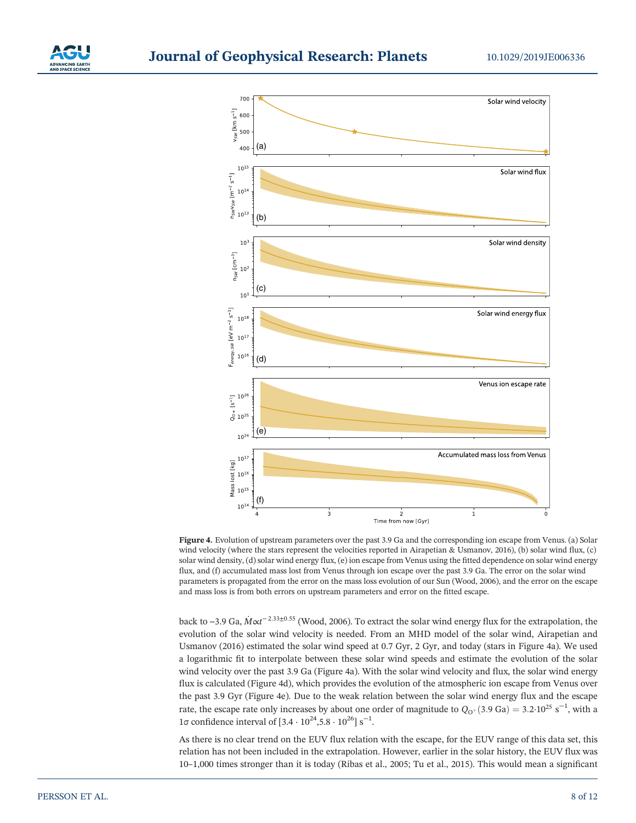



**Figure 4.** Evolution of upstream parameters over the past 3.9 Ga and the corresponding ion escape from Venus. (a) Solar wind velocity (where the stars represent the velocities reported in Airapetian & Usmanov, 2016), (b) solar wind flux, (c) solar wind density, (d) solar wind energy flux, (e) ion escape from Venus using the fitted dependence on solar wind energy flux, and (f) accumulated mass lost from Venus through ion escape over the past 3.9 Ga. The error on the solar wind parameters is propagated from the error on the mass loss evolution of our Sun (Wood, 2006), and the error on the escape and mass loss is from both errors on upstream parameters and error on the fitted escape.

back to ~3.9 Ga,  $\dot{M}$ ∝ $t^{-2.33\pm0.55}$  (Wood, 2006). To extract the solar wind energy flux for the extrapolation, the evolution of the solar wind velocity is needed. From an MHD model of the solar wind, Airapetian and Usmanov (2016) estimated the solar wind speed at 0.7 Gyr, 2 Gyr, and today (stars in Figure 4a). We used a logarithmic fit to interpolate between these solar wind speeds and estimate the evolution of the solar wind velocity over the past 3.9 Ga (Figure 4a). With the solar wind velocity and flux, the solar wind energy flux is calculated (Figure 4d), which provides the evolution of the atmospheric ion escape from Venus over the past 3.9 Gyr (Figure 4e). Due to the weak relation between the solar wind energy flux and the escape rate, the escape rate only increases by about one order of magnitude to  $Q_{O^+}(3.9 \text{ Ga}) = 3.2 \cdot 10^{25} \text{ s}^{-1}$ , with a 1σ confidence interval of [3.4 ·  $10^{24}$ , 5.8 ·  $10^{26}$ ] s<sup>−1</sup>.

As there is no clear trend on the EUV flux relation with the escape, for the EUV range of this data set, this relation has not been included in the extrapolation. However, earlier in the solar history, the EUV flux was <sup>10</sup>–1,000 times stronger than it is today (Ribas et al., 2005; Tu et al., 2015). This would mean a significant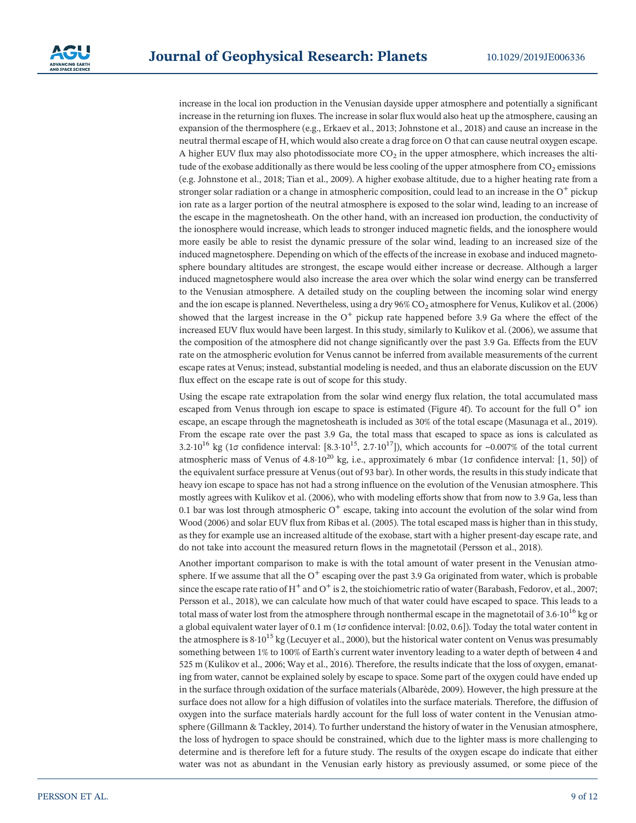

increase in the local ion production in the Venusian dayside upper atmosphere and potentially a significant increase in the returning ion fluxes. The increase in solar flux would also heat up the atmosphere, causing an expansion of the thermosphere (e.g., Erkaev et al., 2013; Johnstone et al., 2018) and cause an increase in the neutral thermal escape of H, which would also create a drag force on O that can cause neutral oxygen escape. A higher EUV flux may also photodissociate more  $CO<sub>2</sub>$  in the upper atmosphere, which increases the altitude of the exobase additionally as there would be less cooling of the upper atmosphere from  $CO<sub>2</sub>$  emissions (e.g. Johnstone et al., 2018; Tian et al., 2009). A higher exobase altitude, due to a higher heating rate from a stronger solar radiation or a change in atmospheric composition, could lead to an increase in the  $O^+$  pickup ion rate as a larger portion of the neutral atmosphere is exposed to the solar wind, leading to an increase of the escape in the magnetosheath. On the other hand, with an increased ion production, the conductivity of the ionosphere would increase, which leads to stronger induced magnetic fields, and the ionosphere would more easily be able to resist the dynamic pressure of the solar wind, leading to an increased size of the induced magnetosphere. Depending on which of the effects of the increase in exobase and induced magnetosphere boundary altitudes are strongest, the escape would either increase or decrease. Although a larger induced magnetosphere would also increase the area over which the solar wind energy can be transferred to the Venusian atmosphere. A detailed study on the coupling between the incoming solar wind energy and the ion escape is planned. Nevertheless, using a dry  $96\%$  CO<sub>2</sub> atmosphere for Venus, Kulikov et al. (2006) showed that the largest increase in the  $O<sup>+</sup>$  pickup rate happened before 3.9 Ga where the effect of the increased EUV flux would have been largest. In this study, similarly to Kulikov et al. (2006), we assume that the composition of the atmosphere did not change significantly over the past 3.9 Ga. Effects from the EUV rate on the atmospheric evolution for Venus cannot be inferred from available measurements of the current escape rates at Venus; instead, substantial modeling is needed, and thus an elaborate discussion on the EUV flux effect on the escape rate is out of scope for this study.

Using the escape rate extrapolation from the solar wind energy flux relation, the total accumulated mass escaped from Venus through ion escape to space is estimated (Figure 4f). To account for the full  $O^+$  ion escape, an escape through the magnetosheath is included as 30% of the total escape (Masunaga et al., 2019). From the escape rate over the past 3.9 Ga, the total mass that escaped to space as ions is calculated as 3.2 $\cdot 10^{16}$  kg (1 $\sigma$  confidence interval: [8.3 $\cdot 10^{15}$ , 2.7 $\cdot 10^{17}$ ]), which accounts for ~0.007% of the total current atmospheric mass of Venus of  $4.8 \cdot 10^{20}$  kg, i.e., approximately 6 mbar (1 $\sigma$  confidence interval: [1, 50]) of the equivalent surface pressure at Venus (out of 93 bar). In other words, the results in this study indicate that heavy ion escape to space has not had a strong influence on the evolution of the Venusian atmosphere. This mostly agrees with Kulikov et al. (2006), who with modeling efforts show that from now to 3.9 Ga, less than 0.1 bar was lost through atmospheric  $O^+$  escape, taking into account the evolution of the solar wind from Wood (2006) and solar EUV flux from Ribas et al. (2005). The total escaped mass is higher than in this study, as they for example use an increased altitude of the exobase, start with a higher present‐day escape rate, and do not take into account the measured return flows in the magnetotail (Persson et al., 2018).

Another important comparison to make is with the total amount of water present in the Venusian atmosphere. If we assume that all the  $O<sup>+</sup>$  escaping over the past 3.9 Ga originated from water, which is probable since the escape rate ratio of H<sup>+</sup> and O<sup>+</sup> is 2, the stoichiometric ratio of water (Barabash, Fedorov, et al., 2007; Persson et al., 2018), we can calculate how much of that water could have escaped to space. This leads to a total mass of water lost from the atmosphere through nonthermal escape in the magnetotail of  $3.6 \cdot 10^{16}$  kg or a global equivalent water layer of 0.1 m (1σ confidence interval: [0.02, 0.6]). Today the total water content in the atmosphere is  $8.10^{15}$  kg (Lecuyer et al., 2000), but the historical water content on Venus was presumably something between 1% to 100% of Earth's current water inventory leading to a water depth of between 4 and 525 m (Kulikov et al., 2006; Way et al., 2016). Therefore, the results indicate that the loss of oxygen, emanating from water, cannot be explained solely by escape to space. Some part of the oxygen could have ended up in the surface through oxidation of the surface materials (Albarède, 2009). However, the high pressure at the surface does not allow for a high diffusion of volatiles into the surface materials. Therefore, the diffusion of oxygen into the surface materials hardly account for the full loss of water content in the Venusian atmosphere (Gillmann & Tackley, 2014). To further understand the history of water in the Venusian atmosphere, the loss of hydrogen to space should be constrained, which due to the lighter mass is more challenging to determine and is therefore left for a future study. The results of the oxygen escape do indicate that either water was not as abundant in the Venusian early history as previously assumed, or some piece of the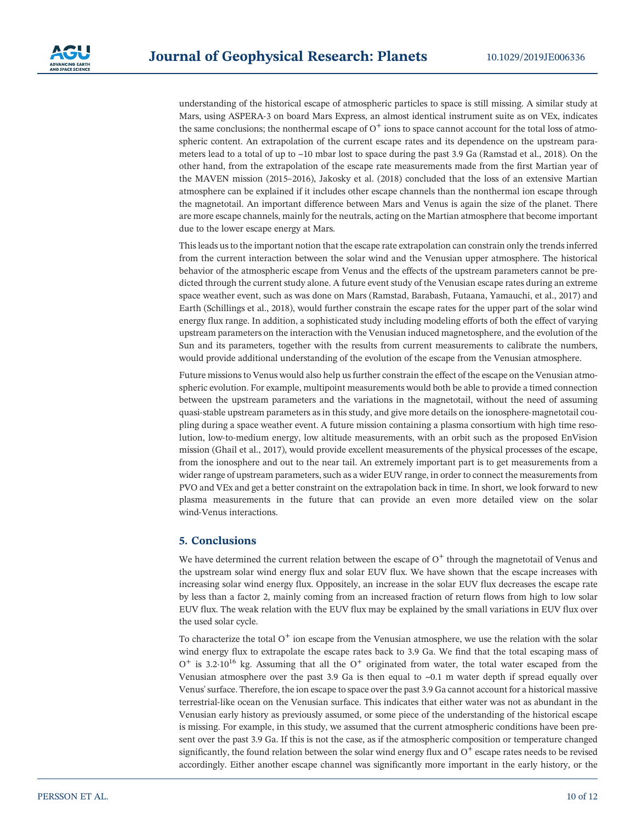understanding of the historical escape of atmospheric particles to space is still missing. A similar study at Mars, using ASPERA‐3 on board Mars Express, an almost identical instrument suite as on VEx, indicates the same conclusions; the nonthermal escape of  $O^+$  ions to space cannot account for the total loss of atmospheric content. An extrapolation of the current escape rates and its dependence on the upstream parameters lead to a total of up to ~10 mbar lost to space during the past 3.9 Ga (Ramstad et al., 2018). On the other hand, from the extrapolation of the escape rate measurements made from the first Martian year of the MAVEN mission (2015–2016), Jakosky et al. (2018) concluded that the loss of an extensive Martian atmosphere can be explained if it includes other escape channels than the nonthermal ion escape through the magnetotail. An important difference between Mars and Venus is again the size of the planet. There are more escape channels, mainly for the neutrals, acting on the Martian atmosphere that become important due to the lower escape energy at Mars.

This leads us to the important notion that the escape rate extrapolation can constrain only the trends inferred from the current interaction between the solar wind and the Venusian upper atmosphere. The historical behavior of the atmospheric escape from Venus and the effects of the upstream parameters cannot be predicted through the current study alone. A future event study of the Venusian escape rates during an extreme space weather event, such as was done on Mars (Ramstad, Barabash, Futaana, Yamauchi, et al., 2017) and Earth (Schillings et al., 2018), would further constrain the escape rates for the upper part of the solar wind energy flux range. In addition, a sophisticated study including modeling efforts of both the effect of varying upstream parameters on the interaction with the Venusian induced magnetosphere, and the evolution of the Sun and its parameters, together with the results from current measurements to calibrate the numbers, would provide additional understanding of the evolution of the escape from the Venusian atmosphere.

Future missions to Venus would also help us further constrain the effect of the escape on the Venusian atmospheric evolution. For example, multipoint measurements would both be able to provide a timed connection between the upstream parameters and the variations in the magnetotail, without the need of assuming quasi-stable upstream parameters as in this study, and give more details on the ionosphere-magnetotail coupling during a space weather event. A future mission containing a plasma consortium with high time resolution, low‐to‐medium energy, low altitude measurements, with an orbit such as the proposed EnVision mission (Ghail et al., 2017), would provide excellent measurements of the physical processes of the escape, from the ionosphere and out to the near tail. An extremely important part is to get measurements from a wider range of upstream parameters, such as a wider EUV range, in order to connect the measurements from PVO and VEx and get a better constraint on the extrapolation back in time. In short, we look forward to new plasma measurements in the future that can provide an even more detailed view on the solar wind‐Venus interactions.

### **5. Conclusions**

We have determined the current relation between the escape of  $O<sup>+</sup>$  through the magnetotail of Venus and the upstream solar wind energy flux and solar EUV flux. We have shown that the escape increases with increasing solar wind energy flux. Oppositely, an increase in the solar EUV flux decreases the escape rate by less than a factor 2, mainly coming from an increased fraction of return flows from high to low solar EUV flux. The weak relation with the EUV flux may be explained by the small variations in EUV flux over the used solar cycle.

To characterize the total  $O^+$  ion escape from the Venusian atmosphere, we use the relation with the solar wind energy flux to extrapolate the escape rates back to 3.9 Ga. We find that the total escaping mass of  $O<sup>+</sup>$  is 3.2·10<sup>16</sup> kg. Assuming that all the  $O<sup>+</sup>$  originated from water, the total water escaped from the Venusian atmosphere over the past 3.9 Ga is then equal to  $\sim 0.1$  m water depth if spread equally over Venus' surface. Therefore, the ion escape to space over the past 3.9 Ga cannot account for a historical massive terrestrial‐like ocean on the Venusian surface. This indicates that either water was not as abundant in the Venusian early history as previously assumed, or some piece of the understanding of the historical escape is missing. For example, in this study, we assumed that the current atmospheric conditions have been present over the past 3.9 Ga. If this is not the case, as if the atmospheric composition or temperature changed significantly, the found relation between the solar wind energy flux and  $O<sup>+</sup>$  escape rates needs to be revised accordingly. Either another escape channel was significantly more important in the early history, or the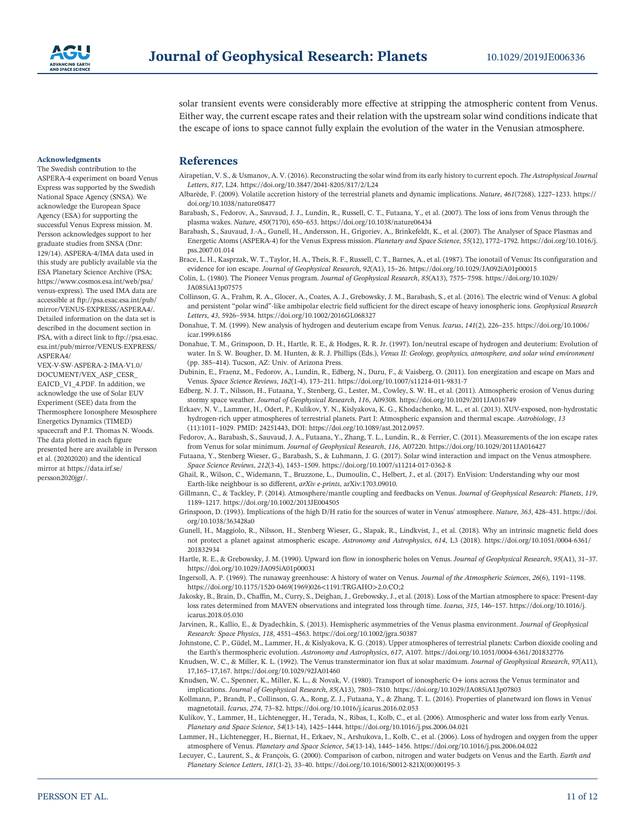

solar transient events were considerably more effective at stripping the atmospheric content from Venus. Either way, the current escape rates and their relation with the upstream solar wind conditions indicate that the escape of ions to space cannot fully explain the evolution of the water in the Venusian atmosphere.

#### **Acknowledgments**

The Swedish contribution to the ASPERA‐4 experiment on board Venus Express was supported by the Swedish National Space Agency (SNSA). We acknowledge the European Space Agency (ESA) for supporting the successful Venus Express mission. M. Persson acknowledges support to her graduate studies from SNSA (Dnr: 129/14). ASPERA‐4/IMA data used in this study are publicly available via the ESA Planetary Science Archive (PSA; [https://www.cosmos.esa.int/web/psa/](https://www.cosmos.esa.int/web/psa/venus-express) venus‐[express\)](https://www.cosmos.esa.int/web/psa/venus-express). The used IMA data are accessible at [ftp://psa.esac.esa.int/pub/](ftp://psa.esac.esa.int/pub/mirror/VENUS-EXPRESS/ASPERA4/) mirror/VENUS‐[EXPRESS/ASPERA4/](ftp://psa.esac.esa.int/pub/mirror/VENUS-EXPRESS/ASPERA4/). Detailed information on the data set is described in the document section in PSA, with a direct link to [ftp://psa.esac.](ftp://psa.esac.esa.int/pub/mirror/VENUS-EXPRESS/ASPERA4/VEX-V-SW-ASPERA-2-IMA-V1.0/DOCUMENT/VEX_ASP_CESR_EAICD_V1_4.PDF) [esa.int/pub/mirror/VENUS](ftp://psa.esac.esa.int/pub/mirror/VENUS-EXPRESS/ASPERA4/VEX-V-SW-ASPERA-2-IMA-V1.0/DOCUMENT/VEX_ASP_CESR_EAICD_V1_4.PDF)‐EXPRESS/ [ASPERA4/](ftp://psa.esac.esa.int/pub/mirror/VENUS-EXPRESS/ASPERA4/VEX-V-SW-ASPERA-2-IMA-V1.0/DOCUMENT/VEX_ASP_CESR_EAICD_V1_4.PDF)

VEX‐V‐SW‐[ASPERA](ftp://psa.esac.esa.int/pub/mirror/VENUS-EXPRESS/ASPERA4/VEX-V-SW-ASPERA-2-IMA-V1.0/DOCUMENT/VEX_ASP_CESR_EAICD_V1_4.PDF)‐2‐IMA‐V1.0/ [DOCUMENT/VEX\\_ASP\\_CESR\\_](ftp://psa.esac.esa.int/pub/mirror/VENUS-EXPRESS/ASPERA4/VEX-V-SW-ASPERA-2-IMA-V1.0/DOCUMENT/VEX_ASP_CESR_EAICD_V1_4.PDF) [EAICD\\_V1\\_4.PDF](ftp://psa.esac.esa.int/pub/mirror/VENUS-EXPRESS/ASPERA4/VEX-V-SW-ASPERA-2-IMA-V1.0/DOCUMENT/VEX_ASP_CESR_EAICD_V1_4.PDF). In addition, we acknowledge the use of Solar EUV Experiment (SEE) data from the Thermosphere Ionosphere Mesosphere Energetics Dynamics (TIMED) spacecraft and P.I. Thomas N. Woods. The data plotted in each figure presented here are available in Persson et al. (20202020) and the identical mirror at [https://data.irf.se/](https://data.irf.se/persson2020jgr/) [persson2020jgr/.](https://data.irf.se/persson2020jgr/)

### **References**

- Airapetian, V. S., & Usmanov, A. V. (2016). Reconstructing the solar wind from its early history to current epoch. *The Astrophysical Journal Letters*, *<sup>817</sup>*, L24. [https://doi.org/10.3847/2041](https://doi.org/10.3847/2041-8205/817/2/L24)‐8205/817/2/L24
- Albarède, F. (2009). Volatile accretion history of the terrestrial planets and dynamic implications. *Nature*, *<sup>461</sup>*(7268), 1227–1233. [https://](https://doi.org/10.1038/nature08477) [doi.org/10.1038/nature08477](https://doi.org/10.1038/nature08477)
- Barabash, S., Fedorov, A., Sauvaud, J. J., Lundin, R., Russell, C. T., Futaana, Y., et al. (2007). The loss of ions from Venus through the plasma wakes. *Nature*, *<sup>450</sup>*(7170), 650–653.<https://doi.org/10.1038/nature06434>
- Barabash, S., Sauvaud, J.‐A., Gunell, H., Andersson, H., Grigoriev, A., Brinkefeldt, K., et al. (2007). The Analyser of Space Plasmas and Energetic Atoms (ASPERA‐4) for the Venus Express mission. *Planetary and Space Science*, *<sup>55</sup>*(12), 1772–1792. [https://doi.org/10.1016/j.](https://doi.org/10.1016/j.pss.2007.01.014) [pss.2007.01.014](https://doi.org/10.1016/j.pss.2007.01.014)
- Brace, L. H., Kasprzak, W. T., Taylor, H. A., Theis, R. F., Russell, C. T., Barnes, A., et al. (1987). The ionotail of Venus: Its configuration and evidence for ion escape. *Journal of Geophysical Research*, *<sup>92</sup>*(A1), 15–26.<https://doi.org/10.1029/JA092iA01p00015>
- Colin, L. (1980). The Pioneer Venus program. *Journal of Geophysical Research*, *<sup>85</sup>*(A13), 7575–7598. [https://doi.org/10.1029/](https://doi.org/10.1029/JA085iA13p07575) [JA085iA13p07575](https://doi.org/10.1029/JA085iA13p07575)
- Collinson, G. A., Frahm, R. A., Glocer, A., Coates, A. J., Grebowsky, J. M., Barabash, S., et al. (2016). The electric wind of Venus: A global and persistent "polar wind"‐like ambipolar electric field sufficient for the direct escape of heavy ionospheric ions. *Geophysical Research Letters*, *<sup>43</sup>*, 5926–5934.<https://doi.org/10.1002/2016GL068327>
- Donahue, T. M. (1999). New analysis of hydrogen and deuterium escape from Venus. *Icarus*, *<sup>141</sup>*(2), 226–235. [https://doi.org/10.1006/](https://doi.org/10.1006/icar.1999.6186) [icar.1999.6186](https://doi.org/10.1006/icar.1999.6186)
- Donahue, T. M., Grinspoon, D. H., Hartle, R. E., & Hodges, R. R. Jr. (1997). Ion/neutral escape of hydrogen and deuterium: Evolution of water. In S. W. Bougher, D. M. Hunten, & R. J. Phillips (Eds.), *Venus II: Geology, geophysics, atmosphere, and solar wind environment* (pp. 385–414). Tucson, AZ: Univ. of Arizona Press.
- Dubinin, E., Fraenz, M., Fedorov, A., Lundin, R., Edberg, N., Duru, F., & Vaisberg, O. (2011). Ion energization and escape on Mars and Venus. *Space Science Reviews*, *<sup>162</sup>*(1‐4), 173–211. [https://doi.org/10.1007/s11214](https://doi.org/10.1007/s11214-011-9831-7)‐011‐9831‐<sup>7</sup>
- Edberg, N. J. T., Nilsson, H., Futaana, Y., Stenberg, G., Lester, M., Cowley, S. W. H., et al. (2011). Atmospheric erosion of Venus during stormy space weather. *Journal of Geophysical Research*, *116*, A09308.<https://doi.org/10.1029/2011JA016749>
- Erkaev, N. V., Lammer, H., Odert, P., Kulikov, Y. N., Kislyakova, K. G., Khodachenko, M. L., et al. (2013). XUV‐exposed, non‐hydrostatic hydrogen‐rich upper atmospheres of terrestrial planets. Part I: Atmospheric expansion and thermal escape. *Astrobiology*, *<sup>13</sup>* (11):1011–1029. PMID: [24251443, DOI: https://doi.org/10.1089/ast.2012.0957.](https://doi.org/info:pmid/24251443)
- Fedorov, A., Barabash, S., Sauvaud, J. A., Futaana, Y., Zhang, T. L., Lundin, R., & Ferrier, C. (2011). Measurements of the ion escape rates from Venus for solar minimum. *Journal of Geophysical Research*, *116*, A07220.<https://doi.org/10.1029/2011JA016427>
- Futaana, Y., Stenberg Wieser, G., Barabash, S., & Luhmann, J. G. (2017). Solar wind interaction and impact on the Venus atmosphere. *Space Science Reviews*, *<sup>212</sup>*(3‐4), 1453–1509. [https://doi.org/10.1007/s11214](https://doi.org/10.1007/s11214-017-0362-8)‐017‐0362‐<sup>8</sup>
- Ghail, R., Wilson, C., Widemann, T., Bruzzone, L., Dumoulin, C., Helbert, J., et al. (2017). EnVision: Understanding why our most taana, 1., stenberg wieser, G., Barabasn, S., & Lunmann, J. G. (2017)<br>*Space Science Reviews, 212*(3-4), 1453–1509. https://doi.org/10.1007/s<br>ail, R., Wilson, C., Widemann, T., Bruzzone, L., Dumoulin, C., Helb<br>Earth-like n
- Gillmann, C., & Tackley, P. (2014). Atmosphere/mantle coupling and feedbacks on Venus. *Journal of Geophysical Research: Planets*, *119*, <sup>1189</sup>–1217.<https://doi.org/10.1002/2013JE004505>
- Grinspoon, D. (1993). Implications of the high D/H ratio for the sources of water in Venus' atmosphere. *Nature*, *<sup>363</sup>*, 428–431. [https://doi.](https://doi.org/10.1038/363428a0) [org/10.1038/363428a0](https://doi.org/10.1038/363428a0)
- Gunell, H., Maggiolo, R., Nilsson, H., Stenberg Wieser, G., Slapak, R., Lindkvist, J., et al. (2018). Why an intrinsic magnetic field does not protect a planet against atmospheric escape. *Astronomy and Astrophysics*, *<sup>614</sup>*, L3 (2018). [https://doi.org/10.1051/0004](https://doi.org/10.1051/0004-6361/201832934)‐6361/ [201832934](https://doi.org/10.1051/0004-6361/201832934)
- Hartle, R. E., & Grebowsky, J. M. (1990). Upward ion flow in ionospheric holes on Venus. *Journal of Geophysical Research*, *<sup>95</sup>*(A1), 31–37. <https://doi.org/10.1029/JA095iA01p00031>
- Ingersoll, A. P. (1969). The runaway greenhouse: A history of water on Venus. *Journal of the Atmospheric Sciences*, *<sup>26</sup>*(6), 1191–1198. https://doi.org/10.1175/1520‐[0469\(1969\)026<1191:TRGAHO>2.0.CO;2](https://doi.org/10.1175/1520-0469(1969)026%3c1191:TRGAHO%3e2.0.CO;2)
- Jakosky, B., Brain, D., Chaffin, M., Curry, S., Deighan, J., Grebowsky, J., et al. (2018). Loss of the Martian atmosphere to space: Present‐day loss rates determined from MAVEN observations and integrated loss through time. *Icarus*, *<sup>315</sup>*, 146–157. [https://doi.org/10.1016/j.](https://doi.org/10.1016/j.icarus.2018.05.030) [icarus.2018.05.030](https://doi.org/10.1016/j.icarus.2018.05.030)
- Jarvinen, R., Kallio, E., & Dyadechkin, S. (2013). Hemispheric asymmetries of the Venus plasma environment. *Journal of Geophysical Research: Space Physics*, *<sup>118</sup>*, 4551–4563.<https://doi.org/10.1002/jgra.50387>
- Johnstone, C. P., Güdel, M., Lammer, H., & Kislyakova, K. G. (2018). Upper atmospheres of terrestrial planets: Carbon dioxide cooling and the Earth's thermospheric evolution. *Astronomy and Astrophysics*, *<sup>617</sup>*, A107. [https://doi.org/10.1051/0004](https://doi.org/10.1051/0004-6361/201832776)‐6361/201832776
- Knudsen, W. C., & Miller, K. L. (1992). The Venus transterminator ion flux at solar maximum. *Journal of Geophysical Research*, *97*(A11), 17,165–17,167.<https://doi.org/10.1029/92JA01460>
- Knudsen, W. C., Spenner, K., Miller, K. L., & Novak, V. (1980). Transport of ionospheric O+ ions across the Venus terminator and implications. *Journal of Geophysical Research*, *<sup>85</sup>*(A13), 7803–7810.<https://doi.org/10.1029/JA085iA13p07803>
- Kollmann, P., Brandt, P., Collinson, G. A., Rong, Z. J., Futaana, Y., & Zhang, T. L. (2016). Properties of planetward ion flows in Venus' magnetotail. *Icarus*, *<sup>274</sup>*, 73–82.<https://doi.org/10.1016/j.icarus.2016.02.053>
- Kulikov, Y., Lammer, H., Lichtenegger, H., Terada, N., Ribas, I., Kolb, C., et al. (2006). Atmospheric and water loss from early Venus. *Planetary and Space Science*, *<sup>54</sup>*(13‐14), 1425–1444.<https://doi.org/10.1016/j.pss.2006.04.021>
- Lammer, H., Lichtenegger, H., Biernat, H., Erkaev, N., Arshukova, I., Kolb, C., et al. (2006). Loss of hydrogen and oxygen from the upper atmosphere of Venus. *Planetary and Space Science*, *<sup>54</sup>*(13‐14), 1445–1456.<https://doi.org/10.1016/j.pss.2006.04.022>
- Lecuyer, C., Laurent, S., & François, G. (2000). Comparison of carbon, nitrogen and water budgets on Venus and the Earth. *Earth and Planetary Science Letters*, *<sup>181</sup>*(1‐2), 33–40. [https://doi.org/10.1016/S0012](https://doi.org/10.1016/S0012-821X(00)00195-3)‐821X(00)00195‐<sup>3</sup>